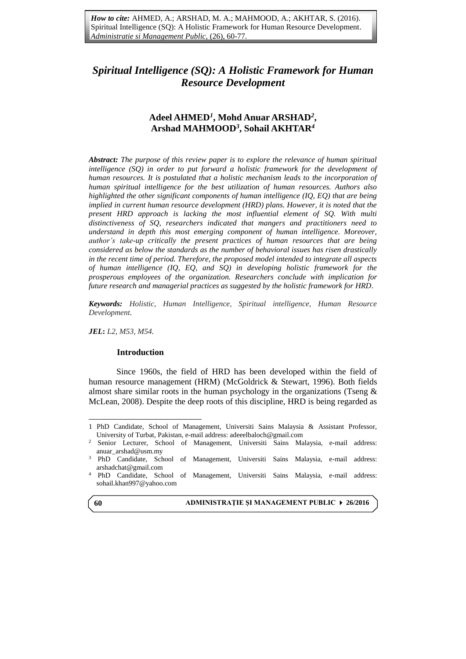# **Adeel AHMED***<sup>1</sup>* **, Mohd Anuar ARSHAD***<sup>2</sup>* **, Arshad MAHMOOD***<sup>3</sup>* **, Sohail AKHTAR***<sup>4</sup>*

*Abstract: The purpose of this review paper is to explore the relevance of human spiritual intelligence (SQ) in order to put forward a holistic framework for the development of human resources. It is postulated that a holistic mechanism leads to the incorporation of human spiritual intelligence for the best utilization of human resources. Authors also highlighted the other significant components of human intelligence (IQ, EQ) that are being implied in current human resource development (HRD) plans. However, it is noted that the present HRD approach is lacking the most influential element of SQ. With multi distinctiveness of SQ, researchers indicated that mangers and practitioners need to understand in depth this most emerging component of human intelligence. Moreover, author's take-up critically the present practices of human resources that are being considered as below the standards as the number of behavioral issues has risen drastically in the recent time of period. Therefore, the proposed model intended to integrate all aspects of human intelligence (IQ, EQ, and SQ) in developing holistic framework for the prosperous employees of the organization. Researchers conclude with implication for future research and managerial practices as suggested by the holistic framework for HRD.*

*Keywords: Holistic, Human Intelligence, Spiritual intelligence, Human Resource Development.*

*JEL***:** *L2, M53, M54.*

### **Introduction**

Since 1960s, the field of HRD has been developed within the field of human resource management (HRM) [\(McGoldrick & Stewart,](#page-14-0) 1996). Both fields almost share similar roots in the human psychology in the organizations (Tseng  $\&$ [McLean, 2008\)](#page-16-0). Despite the deep roots of this discipline, HRD is being regarded as

**60**

 $\overline{a}$ 

**ADMINISTRAŢIE ŞI MANAGEMENT PUBLIC 26/2016**

<sup>1</sup> PhD Candidate, School of Management, Universiti Sains Malaysia & Assistant Professor, University of Turbat, Pakistan, e-mail address: [adeeelbaloch@gmail.com](mailto:adeeelbaloch@gmail.com)

<sup>2</sup> Senior Lecturer, School of Management, Universiti Sains Malaysia, e-mail address: [anuar\\_arshad@usm.my](mailto:anuar_arshad@usm.my)

<sup>3</sup> PhD Candidate, School of Management, Universiti Sains Malaysia, e-mail address: [arshadchat@gmail.com](mailto:arshadchat@gmail.com)

<sup>4</sup> PhD Candidate, School of Management, Universiti Sains Malaysia, e-mail address: [sohail.khan997@yahoo.com](mailto:sohail.khan997@yahoo.com)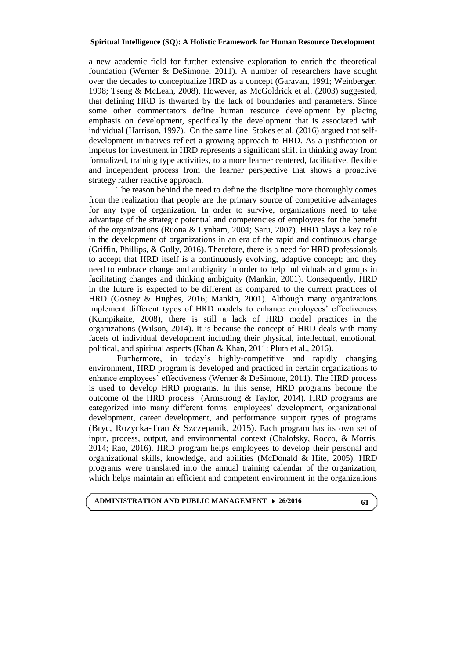a new academic field for further extensive exploration to enrich the theoretical foundation (Werner & DeSimone, 2011). A number of researchers have sought over the decades to conceptualize HRD as a concept (Garavan, 1991; Weinberger, 1998; Tseng & McLean, 2008). However, as McGoldrick et al. (2003) suggested, that defining HRD is thwarted by the lack of boundaries and parameters. Since some other commentators define human resource development by placing emphasis on development, specifically the development that is associated with individual (Harrison, 1997). On the same line Stokes et al. (2016) argued that selfdevelopment initiatives reflect a growing approach to HRD. As a justification or impetus for investment in HRD represents a significant shift in thinking away from formalized, training type activities, to a more learner centered, facilitative, flexible and independent process from the learner perspective that shows a proactive strategy rather reactive approach.

The reason behind the need to define the discipline more thoroughly comes from the realization that people are the primary source of competitive advantages for any type of organization. In order to survive, organizations need to take advantage of the strategic potential and competencies of employees for the benefit of the organizations [\(Ruona & Lynham, 2004;](#page-15-0) [Saru, 2007\)](#page-15-1). HRD plays a key role in the development of organizations in an era of the rapid and continuous change [\(Griffin, Phillips, & Gully, 2016\)](#page-12-0). Therefore, there is a need for HRD professionals to accept that HRD itself is a continuously evolving, adaptive concept; and they need to embrace change and ambiguity in order to help individuals and groups in facilitating changes and thinking ambiguity [\(Mankin, 2001\)](#page-13-0). Consequently, HRD in the future is expected to be different as compared to the current practices of HRD [\(Gosney & Hughes, 2016;](#page-12-1) [Mankin, 2001\)](#page-13-0). Although many organizations implement different types of HRD models to enhance employees' effectiveness [\(Kumpikaite, 2008\)](#page-13-1), there is still a lack of HRD model practices in the organizations [\(Wilson, 2014\)](#page-16-1). It is because the concept of HRD deals with many facets of individual development including their physical, intellectual, emotional, political, and spiritual aspects (Khan & Khan, 2011; [Pluta et al., 2016\)](#page-14-1).

Furthermore, in today's highly-competitive and rapidly changing environment, HRD program is developed and practiced in certain organizations to enhance employees' effectiveness (Werner & DeSimone, 2011). The HRD process is used to develop HRD programs. In this sense, HRD programs become the outcome of the HRD process [\(Armstrong & Taylor, 2014\)](#page-11-0). HRD programs are categorized into many different forms: employees' development, organizational development, career development, and performance support types of programs (Bryc, Rozycka-Tran & Szczepanik, 2015). Each program has its own set of input, process, output, and environmental context [\(Chalofsky, Rocco, & Morris,](#page-11-1)  [2014;](#page-11-1) [Rao, 2016\)](#page-15-2). HRD program helps employees to develop their personal and organizational skills, knowledge, and abilities (McDonald  $\&$  Hite, 2005). HRD programs were translated into the annual training calendar of the organization, which helps maintain an efficient and competent environment in the organizations

# **ADMINISTRATION AND PUBLIC MANAGEMENT 26/2016**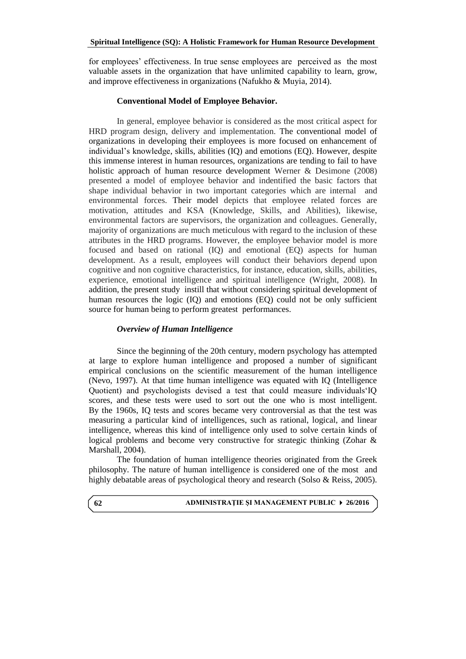for employees' effectiveness. In true sense employees are perceived as the most valuable assets in the organization that have unlimited capability to learn, grow, and improve effectiveness in organizations [\(Nafukho & Muyia, 2014\)](#page-14-2).

# **Conventional Model of Employee Behavior.**

In general, employee behavior is considered as the most critical aspect for HRD program design, delivery and implementation. The conventional model of organizations in developing their employees is more focused on enhancement of individual's knowledge, skills, abilities (IQ) and emotions (EQ). However, despite this immense interest in human resources, organizations are tending to fail to have holistic approach of human resource development Werner & Desimone (2008) presented a model of employee behavior and indentified the basic factors that shape individual behavior in two important categories which are internal and environmental forces. Their model depicts that employee related forces are motivation, attitudes and KSA (Knowledge, Skills, and Abilities), likewise, environmental factors are supervisors, the organization and colleagues. Generally, majority of organizations are much meticulous with regard to the inclusion of these attributes in the HRD programs. However, the employee behavior model is more focused and based on rational (IQ) and emotional (EQ) aspects for human development. As a result, employees will conduct their behaviors depend upon cognitive and non cognitive characteristics, for instance, education, skills, abilities, experience, emotional intelligence and spiritual intelligence (Wright, 2008). In addition, the present study instill that without considering spiritual development of human resources the logic (IQ) and emotions (EQ) could not be only sufficient source for human being to perform greatest performances.

# *Overview of Human Intelligence*

Since the beginning of the 20th century, modern psychology has attempted at large to explore human intelligence and proposed a number of significant empirical conclusions on the scientific measurement of the human intelligence (Nevo, 1997). At that time human intelligence was equated with IQ (Intelligence Quotient) and psychologists devised a test that could measure individuals'IQ scores, and these tests were used to sort out the one who is most intelligent. By the 1960s, IQ tests and scores became very controversial as that the test was measuring a particular kind of intelligences, such as rational, logical, and linear intelligence, whereas this kind of intelligence only used to solve certain kinds of logical problems and become very constructive for strategic thinking (Zohar & Marshall, 2004).

The foundation of human intelligence theories originated from the Greek philosophy. The nature of human intelligence is considered one of the most and highly debatable areas of psychological theory and research [\(Solso & Reiss, 2005\)](#page-15-3).

#### **ADMINISTRAŢIE ŞI MANAGEMENT PUBLIC 26/2016**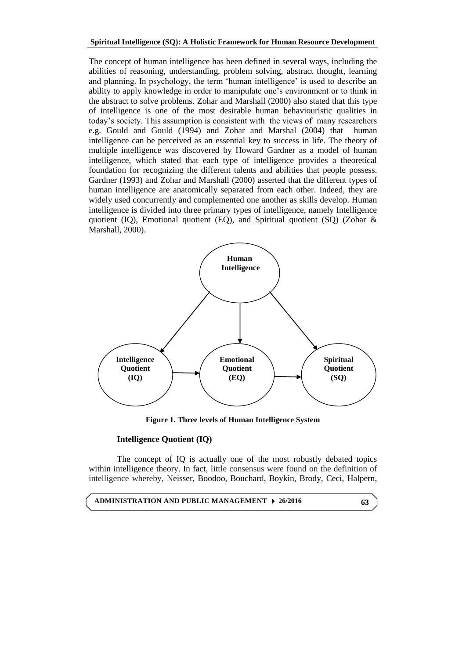The concept of human intelligence has been defined in several ways, including the abilities of reasoning, understanding, problem solving, abstract thought, learning and planning. In psychology, the term 'human intelligence' is used to describe an ability to apply knowledge in order to manipulate one's environment or to think in the abstract to solve problems. Zohar and Marshall (2000) also stated that this type of intelligence is one of the most desirable human behaviouristic qualities in today's society. This assumption is consistent with the views of many researchers e.g. [Gould and Gould \(1994\)](#page-12-2) and Zohar and Marshal (2004) that human intelligence can be perceived as an essential key to success in life. The theory of multiple intelligence was discovered by Howard Gardner as a model of human intelligence, which stated that each type of intelligence provides a theoretical foundation for recognizing the different talents and abilities that people possess. Gardner (1993) and Zohar and Marshall (2000) asserted that the different types of human intelligence are anatomically separated from each other. Indeed, they are widely used concurrently and complemented one another as skills develop. Human intelligence is divided into three primary types of intelligence, namely Intelligence quotient (IQ), Emotional quotient (EQ), and Spiritual quotient (SQ) (Zohar & Marshall, 2000).



**Figure 1. Three levels of Human Intelligence System**

# **Intelligence Quotient (IQ)**

The concept of IQ is actually one of the most robustly debated topics within intelligence theory. In fact, little consensus were found on the definition of intelligence whereby, Neisser, Boodoo, Bouchard, Boykin, Brody, Ceci, Halpern,

**ADMINISTRATION AND PUBLIC MANAGEMENT 26/2016**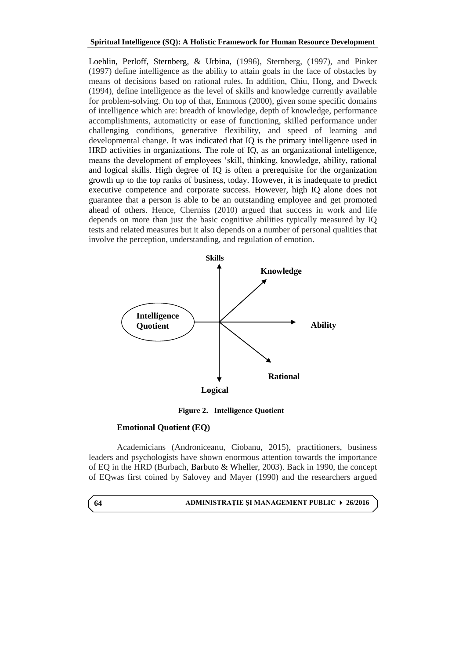Loehlin, Perloff, Sternberg, & Urbina, (1996), Sternberg, (1997), and Pinker (1997) define intelligence as the ability to attain goals in the face of obstacles by means of decisions based on rational rules. In addition, Chiu, Hong, and Dweck (1994), define intelligence as the level of skills and knowledge currently available for problem-solving. On top of that, Emmons (2000), given some specific domains of intelligence which are: breadth of knowledge, depth of knowledge, performance accomplishments, automaticity or ease of functioning, skilled performance under challenging conditions, generative flexibility, and speed of learning and developmental change. It was indicated that IQ is the primary intelligence used in HRD activities in organizations. The role of IQ, as an organizational intelligence, means the development of employees 'skill, thinking, knowledge, ability, rational and logical skills. High degree of IQ is often a prerequisite for the organization growth up to the top ranks of business, today. However, it is inadequate to predict executive competence and corporate success. However, high IQ alone does not guarantee that a person is able to be an outstanding employee and get promoted ahead of others. Hence, Cherniss (2010) argued that success in work and life depends on more than just the basic cognitive abilities typically measured by IQ tests and related measures but it also depends on a number of personal qualities that involve the perception, understanding, and regulation of emotion.



**Figure 2. Intelligence Quotient**

### **Emotional Quotient (EQ)**

Academicians (Androniceanu, Ciobanu, 2015), practitioners, business leaders and psychologists have shown enormous attention towards the importance of EQ in the HRD (Burbach, Barbuto & Wheller, 2003). Back in 1990, the concept of EQwas first coined by Salovey and Mayer (1990) and the researchers argued

**ADMINISTRAŢIE ŞI MANAGEMENT PUBLIC 26/2016 64**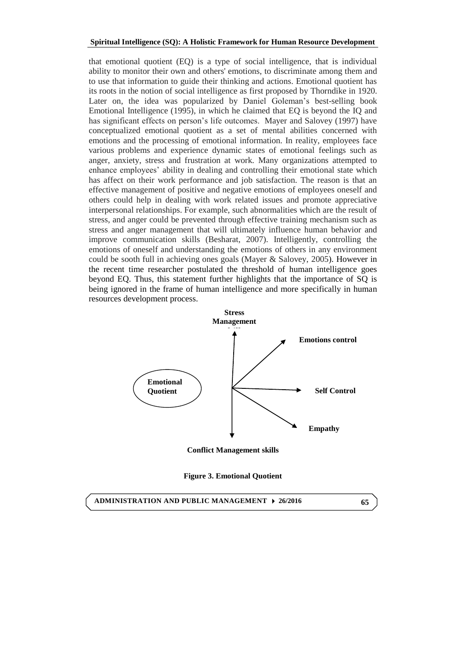that emotional quotient (EQ) is a type of social intelligence, that is individual ability to monitor their own and others' emotions, to discriminate among them and to use that information to guide their thinking and actions. Emotional quotient has its roots in the notion of social intelligence as first proposed by Thorndike in 1920. Later on, the idea was popularized by Daniel Goleman's best-selling book Emotional Intelligence (1995), in which he claimed that EQ is beyond the IQ and has significant effects on person's life outcomes. Mayer and Salovey (1997) have conceptualized emotional quotient as a set of mental abilities concerned with emotions and the processing of emotional information. In reality, employees face various problems and experience dynamic states of emotional feelings such as anger, anxiety, stress and frustration at work. Many organizations attempted to enhance employees' ability in dealing and controlling their emotional state which has affect on their work performance and job satisfaction. The reason is that an effective management of positive and negative emotions of employees oneself and others could help in dealing with work related issues and promote appreciative interpersonal relationships. For example, such abnormalities which are the result of stress, and anger could be prevented through effective training mechanism such as stress and anger management that will ultimately influence human behavior and improve communication skills (Besharat, 2007). Intelligently, controlling the emotions of oneself and understanding the emotions of others in any environment could be sooth full in achieving ones goals (Mayer & Salovey, 2005). However in the recent time researcher postulated the threshold of human intelligence goes beyond EQ. Thus, this statement further highlights that the importance of SQ is being ignored in the frame of human intelligence and more specifically in human resources development process.



**Conflict Management skills**

**Figure 3. Emotional Quotient**

**ADMINISTRATION AND PUBLIC MANAGEMENT 26/2016**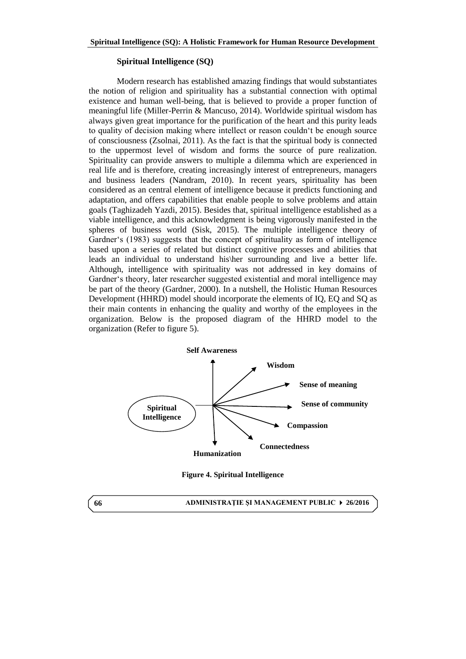# **Spiritual Intelligence (SQ)**

Modern research has established amazing findings that would substantiates the notion of religion and spirituality has a substantial connection with optimal existence and human well-being, that is believed to provide a proper function of meaningful life (Miller-Perrin & Mancuso, 2014). Worldwide spiritual wisdom has always given great importance for the purification of the heart and this purity leads to quality of decision making where intellect or reason couldn't be enough source of consciousness (Zsolnai, 2011). As the fact is that the spiritual body is connected to the uppermost level of wisdom and forms the source of pure realization. Spirituality can provide answers to multiple a dilemma which are experienced in real life and is therefore, creating increasingly interest of entrepreneurs, managers and business leaders (Nandram, 2010). In recent years, spirituality has been considered as an central element of intelligence because it predicts functioning and adaptation, and offers capabilities that enable people to solve problems and attain goals (Taghizadeh Yazdi, 2015). Besides that, spiritual intelligence established as a viable intelligence, and this acknowledgment is being vigorously manifested in the spheres of business world (Sisk, 2015). The multiple intelligence theory of Gardner's (1983) suggests that the concept of spirituality as form of intelligence based upon a series of related but distinct cognitive processes and abilities that leads an individual to understand his\her surrounding and live a better life. Although, intelligence with spirituality was not addressed in key domains of Gardner's theory, later researcher suggested existential and moral intelligence may be part of the theory (Gardner, 2000). In a nutshell, the Holistic Human Resources Development (HHRD) model should incorporate the elements of IQ, EQ and SQ as their main contents in enhancing the quality and worthy of the employees in the organization. Below is the proposed diagram of the HHRD model to the organization (Refer to figure 5).



**Figure 4. Spiritual Intelligence**

**ADMINISTRAŢIE ŞI MANAGEMENT PUBLIC 26/2016**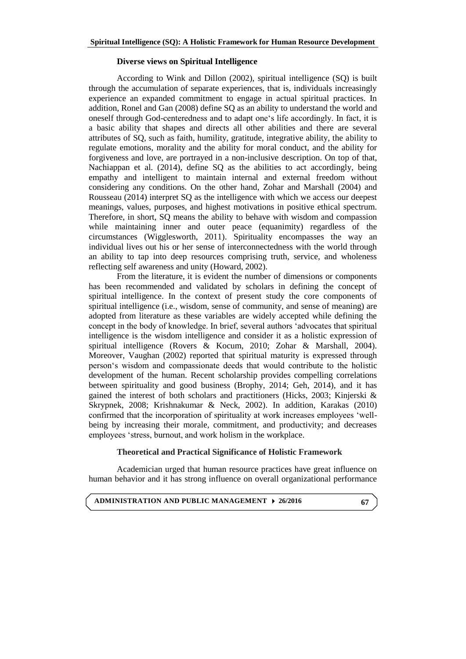# **Diverse views on Spiritual Intelligence**

According to Wink and Dillon (2002), spiritual intelligence (SQ) is built through the accumulation of separate experiences, that is, individuals increasingly experience an expanded commitment to engage in actual spiritual practices. In addition, Ronel and Gan (2008) define SQ as an ability to understand the world and oneself through God-centeredness and to adapt one's life accordingly. In fact, it is a basic ability that shapes and directs all other abilities and there are several attributes of SQ, such as faith, humility, gratitude, integrative ability, the ability to regulate emotions, morality and the ability for moral conduct, and the ability for forgiveness and love, are portrayed in a non-inclusive description. On top of that, Nachiappan et al. (2014), define SO as the abilities to act accordingly, being empathy and intelligent to maintain internal and external freedom without considering any conditions. On the other hand, Zohar and Marshall (2004) and Rousseau (2014) interpret SQ as the intelligence with which we access our deepest meanings, values, purposes, and highest motivations in positive ethical spectrum. Therefore, in short, SQ means the ability to behave with wisdom and compassion while maintaining inner and outer peace (equanimity) regardless of the circumstances (Wigglesworth, 2011). Spirituality encompasses the way an individual lives out his or her sense of interconnectedness with the world through an ability to tap into deep resources comprising truth, service, and wholeness reflecting self awareness and unity (Howard, 2002).

From the literature, it is evident the number of dimensions or components has been recommended and validated by scholars in defining the concept of spiritual intelligence. In the context of present study the core components of spiritual intelligence (i.e., wisdom, sense of community, and sense of meaning) are adopted from literature as these variables are widely accepted while defining the concept in the body of knowledge. In brief, several authors 'advocates that spiritual intelligence is the wisdom intelligence and consider it as a holistic expression of spiritual intelligence (Rovers & Kocum, 2010; Zohar & Marshall, 2004). Moreover, Vaughan (2002) reported that spiritual maturity is expressed through person's wisdom and compassionate deeds that would contribute to the holistic development of the human. Recent scholarship provides compelling correlations between spirituality and good business (Brophy, 2014; Geh, 2014), and it has gained the interest of both scholars and practitioners (Hicks, 2003; Kinjerski & Skrypnek, 2008; Krishnakumar & Neck, 2002). In addition, Karakas (2010) confirmed that the incorporation of spirituality at work increases employees 'wellbeing by increasing their morale, commitment, and productivity; and decreases employees 'stress, burnout, and work holism in the workplace.

# **Theoretical and Practical Significance of Holistic Framework**

Academician urged that human resource practices have great influence on human behavior and it has strong influence on overall organizational performance

**ADMINISTRATION AND PUBLIC MANAGEMENT 26/2016**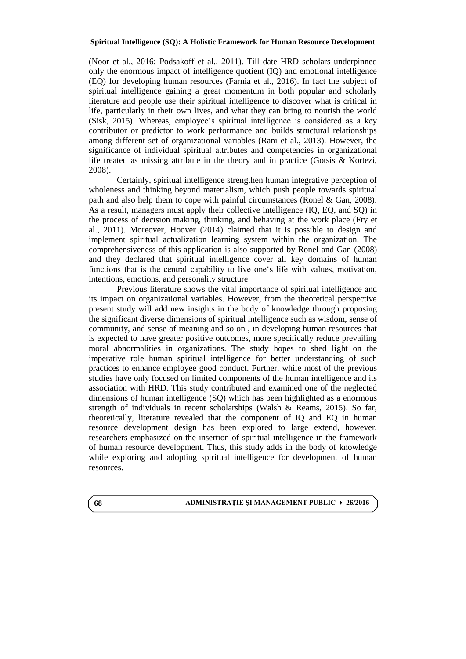(Noor et al., 2016; Podsakoff et al., 2011). Till date HRD scholars underpinned only the enormous impact of intelligence quotient (IQ) and emotional intelligence (EQ) for developing human resources (Farnia et al., 2016). In fact the subject of spiritual intelligence gaining a great momentum in both popular and scholarly literature and people use their spiritual intelligence to discover what is critical in life, particularly in their own lives, and what they can bring to nourish the world (Sisk, 2015). Whereas, employee's spiritual intelligence is considered as a key contributor or predictor to work performance and builds structural relationships among different set of organizational variables (Rani et al., 2013). However, the significance of individual spiritual attributes and competencies in organizational life treated as missing attribute in the theory and in practice (Gotsis & Kortezi, 2008).

Certainly, spiritual intelligence strengthen human integrative perception of wholeness and thinking beyond materialism, which push people towards spiritual path and also help them to cope with painful circumstances (Ronel & Gan, 2008). As a result, managers must apply their collective intelligence (IQ, EQ, and SQ) in the process of decision making, thinking, and behaving at the work place (Fry et al., 2011). Moreover, Hoover (2014) claimed that it is possible to design and implement spiritual actualization learning system within the organization. The comprehensiveness of this application is also supported by Ronel and Gan (2008) and they declared that spiritual intelligence cover all key domains of human functions that is the central capability to live one's life with values, motivation, intentions, emotions, and personality structure

Previous literature shows the vital importance of spiritual intelligence and its impact on organizational variables. However, from the theoretical perspective present study will add new insights in the body of knowledge through proposing the significant diverse dimensions of spiritual intelligence such as wisdom, sense of community, and sense of meaning and so on , in developing human resources that is expected to have greater positive outcomes, more specifically reduce prevailing moral abnormalities in organizations. The study hopes to shed light on the imperative role human spiritual intelligence for better understanding of such practices to enhance employee good conduct. Further, while most of the previous studies have only focused on limited components of the human intelligence and its association with HRD. This study contributed and examined one of the neglected dimensions of human intelligence (SQ) which has been highlighted as a enormous strength of individuals in recent scholarships (Walsh & Reams, 2015). So far, theoretically, literature revealed that the component of IQ and EQ in human resource development design has been explored to large extend, however, researchers emphasized on the insertion of spiritual intelligence in the framework of human resource development. Thus, this study adds in the body of knowledge while exploring and adopting spiritual intelligence for development of human resources.

#### **ADMINISTRAŢIE ŞI MANAGEMENT PUBLIC 26/2016**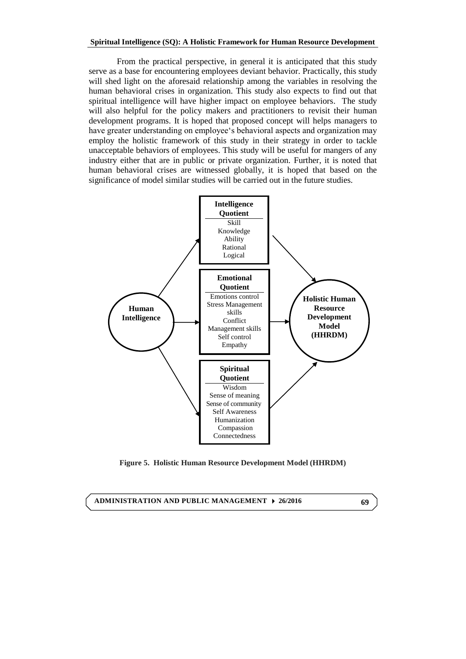From the practical perspective, in general it is anticipated that this study serve as a base for encountering employees deviant behavior. Practically, this study will shed light on the aforesaid relationship among the variables in resolving the human behavioral crises in organization. This study also expects to find out that spiritual intelligence will have higher impact on employee behaviors. The study will also helpful for the policy makers and practitioners to revisit their human development programs. It is hoped that proposed concept will helps managers to have greater understanding on employee's behavioral aspects and organization may employ the holistic framework of this study in their strategy in order to tackle unacceptable behaviors of employees. This study will be useful for mangers of any industry either that are in public or private organization. Further, it is noted that human behavioral crises are witnessed globally, it is hoped that based on the significance of model similar studies will be carried out in the future studies.



**Figure 5. Holistic Human Resource Development Model (HHRDM)**

**ADMINISTRATION AND PUBLIC MANAGEMENT 26/2016**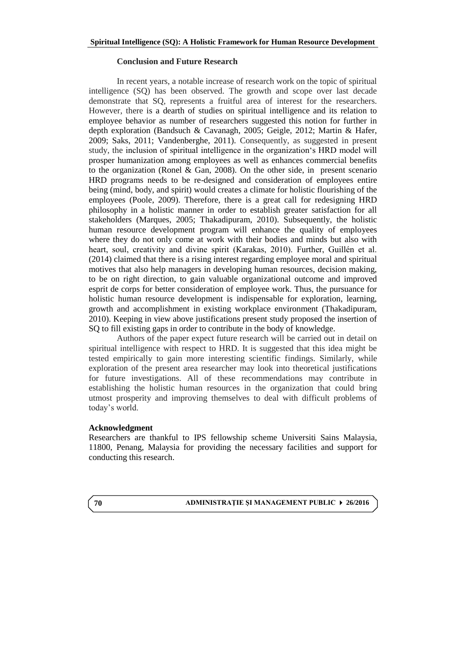# **Conclusion and Future Research**

In recent years, a notable increase of research work on the topic of spiritual intelligence (SQ) has been observed. The growth and scope over last decade demonstrate that SQ, represents a fruitful area of interest for the researchers. However, there is a dearth of studies on spiritual intelligence and its relation to employee behavior as number of researchers suggested this notion for further in depth exploration (Bandsuch & Cavanagh, 2005; Geigle, 2012; Martin & Hafer, 2009; Saks, 2011; Vandenberghe, 2011). Consequently, as suggested in present study, the inclusion of spiritual intelligence in the organization's HRD model will prosper humanization among employees as well as enhances commercial benefits to the organization (Ronel & Gan, 2008). On the other side, in present scenario HRD programs needs to be re-designed and consideration of employees entire being (mind, body, and spirit) would creates a climate for holistic flourishing of the employees (Poole, 2009). Therefore, there is a great call for redesigning HRD philosophy in a holistic manner in order to establish greater satisfaction for all stakeholders (Marques, 2005; Thakadipuram, 2010). Subsequently, the holistic human resource development program will enhance the quality of employees where they do not only come at work with their bodies and minds but also with heart, soul, creativity and divine spirit (Karakas, 2010). Further, Guillén et al. (2014) claimed that there is a rising interest regarding employee moral and spiritual motives that also help managers in developing human resources, decision making, to be on right direction, to gain valuable organizational outcome and improved esprit de corps for better consideration of employee work. Thus, the pursuance for holistic human resource development is indispensable for exploration, learning, growth and accomplishment in existing workplace environment (Thakadipuram, 2010). Keeping in view above justifications present study proposed the insertion of SQ to fill existing gaps in order to contribute in the body of knowledge.

Authors of the paper expect future research will be carried out in detail on spiritual intelligence with respect to HRD. It is suggested that this idea might be tested empirically to gain more interesting scientific findings. Similarly, while exploration of the present area researcher may look into theoretical justifications for future investigations. All of these recommendations may contribute in establishing the holistic human resources in the organization that could bring utmost prosperity and improving themselves to deal with difficult problems of today's world.

# **Acknowledgment**

Researchers are thankful to IPS fellowship scheme Universiti Sains Malaysia, 11800, Penang, Malaysia for providing the necessary facilities and support for conducting this research.

**ADMINISTRAŢIE ŞI MANAGEMENT PUBLIC 26/2016**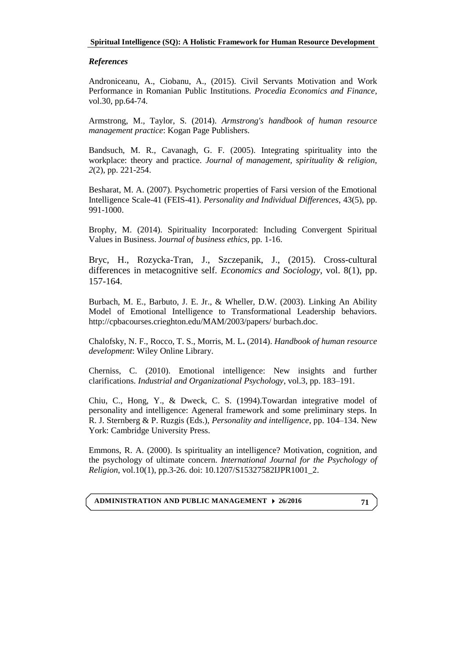# *References*

<span id="page-11-0"></span>Androniceanu, A., Ciobanu, A., (2015). Civil Servants Motivation and Work Performance in Romanian Public Institutions. *Procedia Economics and Finance,*  vol.30, pp.64-74.

Armstrong, M., Taylor, S. (2014). *Armstrong's handbook of human resource management practice*: Kogan Page Publishers.

Bandsuch, M. R., Cavanagh, G. F. (2005). Integrating spirituality into the workplace: theory and practice. *Journal of management, spirituality & religion, 2*(2), pp. 221-254.

Besharat, M. A. (2007). Psychometric properties of Farsi version of the Emotional Intelligence Scale-41 (FEIS-41). *Personality and Individual Differences*, 43(5), pp. 991-1000.

Brophy, M. (2014). Spirituality Incorporated: Including Convergent Spiritual Values in Business. J*ournal of business ethics*, pp. 1-16.

Bryc, H., Rozycka-Tran, J., Szczepanik, J., (2015). Cross-cultural differences in metacognitive self. *Economics and Sociology*, vol. 8(1), pp. 157-164.

Burbach, M. E., Barbuto, J. E. Jr., & Wheller, D.W. (2003). Linking An Ability Model of Emotional Intelligence to Transformational Leadership behaviors. [http://cpbacourses.crieghton.edu/MAM/2003/papers/ burbach.doc.](http://cpbacourses.crieghton.edu/MAM/2003/papers/%20burbach.doc)

<span id="page-11-1"></span>Chalofsky, N. F., Rocco, T. S., Morris, M. L**.** (2014). *Handbook of human resource development*: Wiley Online Library.

Cherniss, C. (2010). Emotional intelligence: New insights and further clarifications. *Industrial and Organizational Psychology*, vol.3, pp. 183–191.

Chiu, C., Hong, Y., & Dweck, C. S. (1994).Towardan integrative model of personality and intelligence: Ageneral framework and some preliminary steps. In R. J. Sternberg & P. Ruzgis (Eds.), *Personality and intelligence*, pp. 104–134. New York: Cambridge University Press.

Emmons, R. A. (2000). Is spirituality an intelligence? Motivation, cognition, and the psychology of ultimate concern. *International Journal for the Psychology of Religion*, vol.10(1), pp.3-26. doi: 10.1207/S15327582IJPR1001\_2.

**ADMINISTRATION AND PUBLIC MANAGEMENT 26/2016**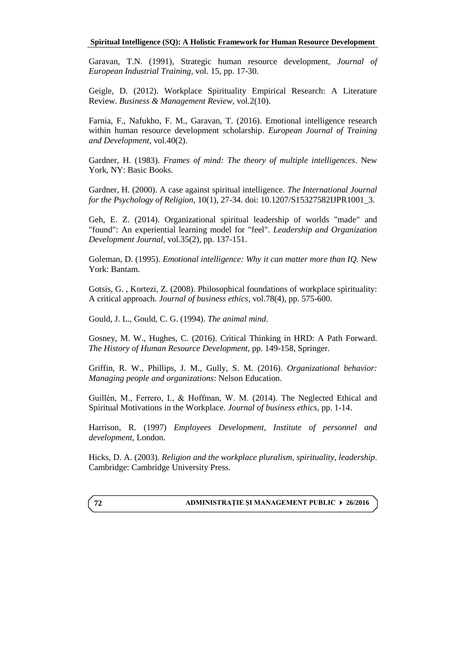Garavan, T.N. (1991), Strategic human resource development, *Journal of European Industrial Training*, vol. 15, pp. 17-30.

Geigle, D. (2012). Workplace Spirituality Empirical Research: A Literature Review. *Business & Management Review,* vol.2(10).

Farnia, F., Nafukho, F. M., Garavan, T. (2016). Emotional intelligence research within human resource development scholarship. *European Journal of Training and Development,* vol.40(2).

Gardner, H. (1983). *Frames of mind: The theory of multiple intelligences*. New York, NY: Basic Books.

Gardner, H. (2000). A case against spiritual intelligence. *The International Journal for the Psychology of Religion,* 10(1), 27-34. doi: 10.1207/S15327582IJPR1001\_3.

Geh, E. Z. (2014). Organizational spiritual leadership of worlds "made" and "found": An experiential learning model for "feel". *Leadership and Organization Development Journal*, vol.35(2), pp. 137-151.

Goleman, D. (1995). *Emotional intelligence: Why it can matter more than IQ.* New York: Bantam.

<span id="page-12-2"></span>Gotsis, G. , Kortezi, Z. (2008). Philosophical foundations of workplace spirituality: A critical approach. *Journal of business ethics,* vol.78(4), pp. 575-600.

<span id="page-12-1"></span>Gould, J. L., Gould, C. G. (1994). *The animal mind*.

Gosney, M. W., Hughes, C. (2016). Critical Thinking in HRD: A Path Forward. *The History of Human Resource Development*, pp. 149-158, Springer.

Griffin, R. W., Phillips, J. M., Gully, S. M. (2016). *Organizational behavior: Managing people and organizations*: Nelson Education.

Guillén, M., Ferrero, I., & Hoffman, W. M. (2014). The Neglected Ethical and Spiritual Motivations in the Workplace. *Journal of business ethics*, pp. 1-14.

Harrison, R. (1997) *Employees Development, Institute of personnel and development*, London.

Hicks, D. A. (2003). *Religion and the workplace pluralism, spirituality, leadership*. Cambridge: Cambridge University Press.

# <span id="page-12-0"></span>**ADMINISTRAŢIE ŞI MANAGEMENT PUBLIC 26/2016**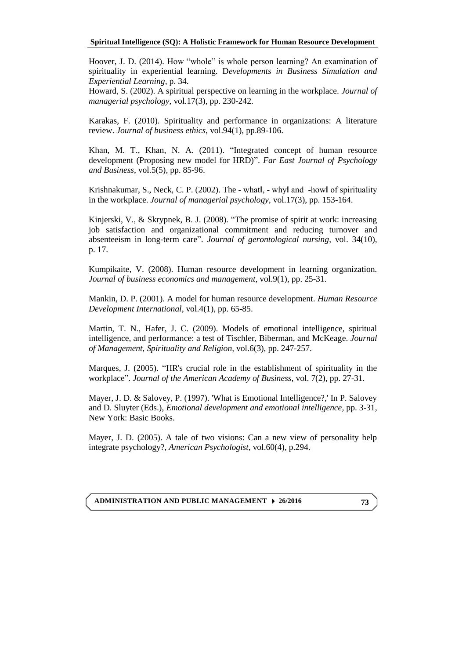Hoover, J. D. (2014). How "whole" is whole person learning? An examination of spirituality in experiential learning. D*evelopments in Business Simulation and Experiential Learning*, p. 34.

Howard, S. (2002). A spiritual perspective on learning in the workplace. *Journal of managerial psychology,* vol.17(3), pp. 230-242.

Karakas, F. (2010). Spirituality and performance in organizations: A literature review. *Journal of business ethics*, vol.94(1), pp.89-106.

Khan, M. T., Khan, N. A. (2011). "Integrated concept of human resource development (Proposing new model for HRD)". *Far East Journal of Psychology and Business*, vol.5(5), pp. 85-96.

Krishnakumar, S., Neck, C. P. (2002). The - whatl, - whyl and -howl of spirituality in the workplace. *Journal of managerial psychology,* vol.17(3), pp. 153-164.

Kinjerski, V., & Skrypnek, B. J. (2008). "The promise of spirit at work: increasing job satisfaction and organizational commitment and reducing turnover and absenteeism in long-term care". *Journal of gerontological nursing*, vol. 34(10), p. 17.

<span id="page-13-1"></span><span id="page-13-0"></span>Kumpikaite, V. (2008). Human resource development in learning organization. *Journal of business economics and management*, vol.9(1), pp. 25-31.

Mankin, D. P. (2001). A model for human resource development. *Human Resource Development International*, vol.4(1), pp. 65-85.

Martin, T. N., Hafer, J. C. (2009). Models of emotional intelligence, spiritual intelligence, and performance: a test of Tischler, Biberman, and McKeage. *Journal of Management, Spirituality and Religion,* vol.6(3), pp. 247-257.

Marques, J. (2005). "HR's crucial role in the establishment of spirituality in the workplace". *Journal of the American Academy of Business,* vol. 7(2), pp. 27-31.

Mayer, J. D. & Salovey, P. (1997). 'What is Emotional Intelligence?,' In P. Salovey and D. Sluyter (Eds.), *Emotional development and emotional intelligence,* pp. 3-31, New York: Basic Books.

<span id="page-13-2"></span>Mayer, J. D. (2005). A tale of two visions: Can a new view of personality help integrate psychology?, *American Psychologist*, vol.60(4), p.294.

**ADMINISTRATION AND PUBLIC MANAGEMENT 26/2016**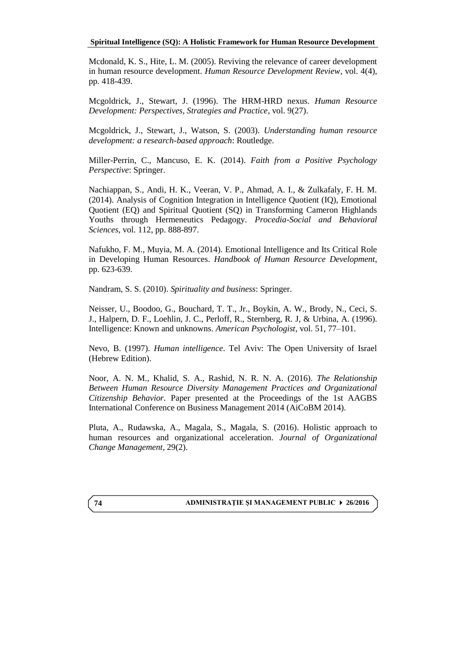Mcdonald, K. S., Hite, L. M. (2005). Reviving the relevance of career development in human resource development. *Human Resource Development Review*, vol. 4(4), pp. 418-439.

<span id="page-14-0"></span>Mcgoldrick, J., Stewart, J. (1996). The HRM-HRD nexus. *Human Resource Development: Perspectives, Strategies and Practice*, vol. 9(27).

Mcgoldrick, J., Stewart, J., Watson, S. (2003). *Understanding human resource development: a research-based approach*: Routledge.

Miller-Perrin, C., Mancuso, E. K. (2014). *Faith from a Positive Psychology Perspective*: Springer.

Nachiappan, S., Andi, H. K., Veeran, V. P., Ahmad, A. I., & Zulkafaly, F. H. M. (2014). Analysis of Cognition Integration in Intelligence Quotient (IQ), Emotional Quotient (EQ) and Spiritual Quotient (SQ) in Transforming Cameron Highlands Youths through Hermeneutics Pedagogy. *Procedia-Social and Behavioral Sciences,* vol. 112, pp. 888-897.

<span id="page-14-2"></span>Nafukho, F. M., Muyia, M. A. (2014). Emotional Intelligence and Its Critical Role in Developing Human Resources. *Handbook of Human Resource Development*, pp. 623-639.

Nandram, S. S. (2010). *Spirituality and business*: Springer.

Neisser, U., Boodoo, G., Bouchard, T. T., Jr., Boykin, A. W., Brody, N., Ceci, S. J., Halpern, D. F., Loehlin, J. C., Perloff, R., Sternberg, R. J, & Urbina, A. (1996). Intelligence: Known and unknowns. *American Psychologist*, vol. 51, 77–101.

Nevo, B. (1997). *Human intelligence*. Tel Aviv: The Open University of Israel (Hebrew Edition).

Noor, A. N. M., Khalid, S. A., Rashid, N. R. N. A. (2016). *The Relationship Between Human Resource Diversity Management Practices and Organizational Citizenship Behavior.* Paper presented at the Proceedings of the 1st AAGBS International Conference on Business Management 2014 (AiCoBM 2014).

Pluta, A., Rudawska, A., Magala, S., Magala, S. (2016). Holistic approach to human resources and organizational acceleration. *Journal of Organizational Change Management*, 29(2).

# <span id="page-14-1"></span>**ADMINISTRAŢIE ŞI MANAGEMENT PUBLIC 26/2016**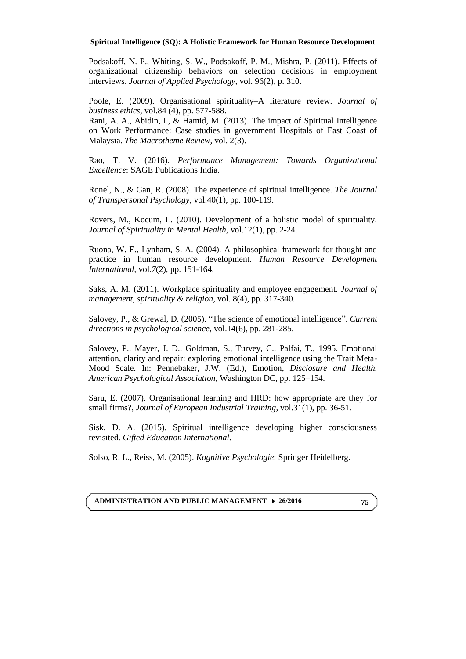Podsakoff, N. P., Whiting, S. W., Podsakoff, P. M., Mishra, P. (2011). Effects of organizational citizenship behaviors on selection decisions in employment interviews. *Journal of Applied Psychology,* vol. 96(2), p. 310.

Poole, E. (2009). Organisational spirituality–A literature review. *Journal of business ethics,* vol.84 (4), pp. 577-588.

Rani, A. A., Abidin, I., & Hamid, M. (2013). The impact of Spiritual Intelligence on Work Performance: Case studies in government Hospitals of East Coast of Malaysia. *The Macrotheme Review,* vol. 2(3).

<span id="page-15-2"></span>Rao, T. V. (2016). *Performance Management: Towards Organizational Excellence*: SAGE Publications India.

Ronel, N., & Gan, R. (2008). The experience of spiritual intelligence. *The Journal of Transpersonal Psychology,* vol.40(1), pp. 100-119.

<span id="page-15-0"></span>Rovers, M., Kocum, L. (2010). Development of a holistic model of spirituality. *Journal of Spirituality in Mental Health,* vol.12(1), pp. 2-24.

Ruona, W. E., Lynham, S. A. (2004). A philosophical framework for thought and practice in human resource development. *Human Resource Development International*, vol.*7*(2), pp. 151-164.

Saks, A. M. (2011). Workplace spirituality and employee engagement. *Journal of management, spirituality & religion,* vol. 8(4), pp. 317-340.

Salovey, P., & Grewal, D. (2005). "The science of emotional intelligence". *Current directions in psychological science,* vol.14(6), pp. 281-285.

Salovey, P., Mayer, J. D., Goldman, S., Turvey, C., Palfai, T., 1995. Emotional attention, clarity and repair: exploring emotional intelligence using the Trait Meta-Mood Scale. In: Pennebaker, J.W. (Ed.), Emotion, *Disclosure and Health. American Psychological Association*, Washington DC, pp. 125–154.

<span id="page-15-1"></span>Saru, E. (2007). Organisational learning and HRD: how appropriate are they for small firms?, *Journal of European Industrial Training*, vol.31(1), pp. 36-51.

<span id="page-15-3"></span>Sisk, D. A. (2015). Spiritual intelligence developing higher consciousness revisited. *Gifted Education International*.

Solso, R. L., Reiss, M. (2005). *Kognitive Psychologie*: Springer Heidelberg.

**ADMINISTRATION AND PUBLIC MANAGEMENT 26/2016**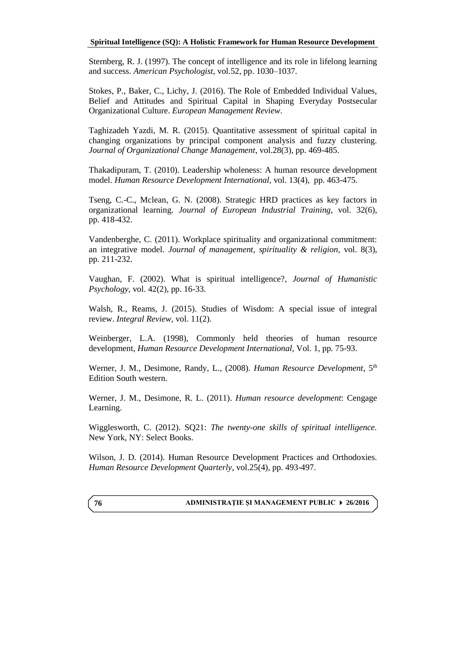Sternberg, R. J. (1997). The concept of intelligence and its role in lifelong learning and success. *American Psychologist,* vol.52, pp. 1030–1037.

Stokes, P., Baker, C., Lichy, J. (2016). The Role of Embedded Individual Values, Belief and Attitudes and Spiritual Capital in Shaping Everyday Postsecular Organizational Culture. *European Management Review*.

Taghizadeh Yazdi, M. R. (2015). Quantitative assessment of spiritual capital in changing organizations by principal component analysis and fuzzy clustering*. Journal of Organizational Change Management*, vol.28(3), pp. 469-485.

<span id="page-16-0"></span>Thakadipuram, T. (2010). Leadership wholeness: A human resource development model. *Human Resource Development International,* vol. 13(4), pp. 463-475.

Tseng, C.-C., Mclean, G. N. (2008). Strategic HRD practices as key factors in organizational learning. *Journal of European Industrial Training*, vol. 32(6), pp. 418-432.

Vandenberghe, C. (2011). Workplace spirituality and organizational commitment: an integrative model. *Journal of management, spirituality & religion,* vol. 8(3), pp. 211-232.

Vaughan, F. (2002). What is spiritual intelligence?, *Journal of Humanistic Psychology*, vol. 42(2), pp. 16-33.

Walsh, R., Reams, J. (2015). Studies of Wisdom: A special issue of integral review. *Integral Review,* vol. 11(2).

Weinberger, L.A. (1998), Commonly held theories of human resource development, *Human Resource Development International,* Vol. 1, pp. 75-93.

Werner, J. M., Desimone, Randy, L., (2008). *Human Resource Development*, 5<sup>th</sup> Edition South western.

Werner, J. M., Desimone, R. L. (2011). *Human resource development*: Cengage Learning.

Wigglesworth, C. (2012). SQ21: *The twenty-one skills of spiritual intelligence.* New York, NY: Select Books.

Wilson, J. D. (2014). Human Resource Development Practices and Orthodoxies. *Human Resource Development Quarterly*, vol.25(4), pp. 493-497.

<span id="page-16-1"></span>**ADMINISTRAŢIE ŞI MANAGEMENT PUBLIC 26/2016**